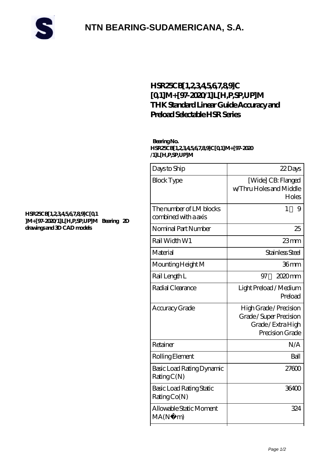

## **[NTN BEARING-SUDAMERICANA, S.A.](https://cyberfembot.com)**

### **[HSR25CB\[1,2,3,4,5,6,7,8,9\]C](https://cyberfembot.com/thk-linear-guide/hsr25cb-1-2-3-4-5-6-7-8-9-c-0-1-m-97-2020-1-l-h-p-sp-up-m.html) [\[0,1\]M+\[97-2020/1\]L\[H,P,SP,UP\]M](https://cyberfembot.com/thk-linear-guide/hsr25cb-1-2-3-4-5-6-7-8-9-c-0-1-m-97-2020-1-l-h-p-sp-up-m.html) [THK Standard Linear Guide Accuracy and](https://cyberfembot.com/thk-linear-guide/hsr25cb-1-2-3-4-5-6-7-8-9-c-0-1-m-97-2020-1-l-h-p-sp-up-m.html) [Preload Selectable HSR Series](https://cyberfembot.com/thk-linear-guide/hsr25cb-1-2-3-4-5-6-7-8-9-c-0-1-m-97-2020-1-l-h-p-sp-up-m.html)**

#### **Bearing No. HSR25CB[1,2,3,4,5,6,7,8,9]C[0,1]M+[97-2020 /1]L[H,P,SP,UP]M**

| Days to Ship                                    | 22Days                                                                                 |
|-------------------------------------------------|----------------------------------------------------------------------------------------|
| <b>Block Type</b>                               | [Wide] CB: Flanged<br>w/Thru Holes and Middle<br>Holes                                 |
| The number of LM blocks<br>combined with a axis | 1<br>9                                                                                 |
| Nominal Part Number                             | 25                                                                                     |
| Rail Width W1                                   | $23$ mm                                                                                |
| Material                                        | Stainless Steel                                                                        |
| Mounting Height M                               | 36mm                                                                                   |
| Rail Length L                                   | $2020$ mm<br>97                                                                        |
| Radial Clearance                                | Light Preload / Medium<br>Preload                                                      |
| Accuracy Grade                                  | High Grade / Precision<br>Grade/Super Precision<br>Grade/Extra High<br>Precision Grade |
| Retainer                                        | N/A                                                                                    |
| Rolling Element                                 | Ball                                                                                   |
| Basic Load Rating Dynamic<br>RatingC(N)         | 27600                                                                                  |
| Basic Load Rating Static<br>RatingCo(N)         | 36400                                                                                  |
| Allowable Static Moment<br>MA(N)<br>m)          | 324                                                                                    |
|                                                 |                                                                                        |

#### **[HSR25CB\[1,2,3,4,5,6,7,8,9\]C\[0,1](https://cyberfembot.com/pic-997110.html) [\]M+\[97-2020/1\]L\[H,P,SP,UP\]M Bearing 2D](https://cyberfembot.com/pic-997110.html) [drawings and 3D CAD models](https://cyberfembot.com/pic-997110.html)**